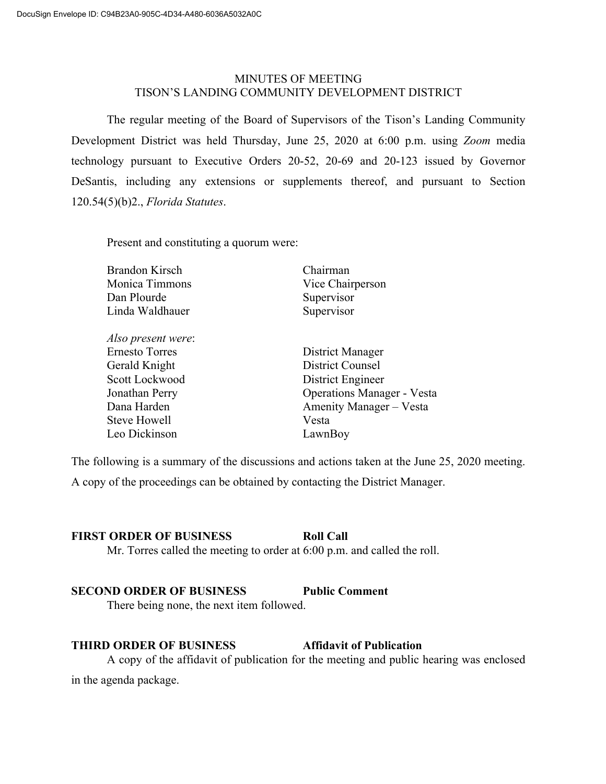## MINUTES OF MEETING TISON'S LANDING COMMUNITY DEVELOPMENT DISTRICT

The regular meeting of the Board of Supervisors of the Tison's Landing Community Development District was held Thursday, June 25, 2020 at 6:00 p.m. using *Zoom* media technology pursuant to Executive Orders 20-52, 20-69 and 20-123 issued by Governor DeSantis, including any extensions or supplements thereof, and pursuant to Section 120.54(5)(b)2., *Florida Statutes*.

Present and constituting a quorum were:

| <b>Brandon Kirsch</b> | Chairman                          |
|-----------------------|-----------------------------------|
| Monica Timmons        | Vice Chairperson                  |
| Dan Plourde           | Supervisor                        |
| Linda Waldhauer       | Supervisor                        |
| Also present were:    |                                   |
| <b>Ernesto Torres</b> | District Manager                  |
| Gerald Knight         | <b>District Counsel</b>           |
| Scott Lockwood        | District Engineer                 |
| Jonathan Perry        | <b>Operations Manager - Vesta</b> |
| Dana Harden           | Amenity Manager – Vesta           |
| Steve Howell          | Vesta                             |
| Leo Dickinson         | LawnBoy                           |
|                       |                                   |

The following is a summary of the discussions and actions taken at the June 25, 2020 meeting.

A copy of the proceedings can be obtained by contacting the District Manager.

# **FIRST ORDER OF BUSINESS Roll Call**

Mr. Torres called the meeting to order at 6:00 p.m. and called the roll.

# **SECOND ORDER OF BUSINESS Public Comment**

There being none, the next item followed.

## **THIRD ORDER OF BUSINESS Affidavit of Publication**

A copy of the affidavit of publication for the meeting and public hearing was enclosed in the agenda package.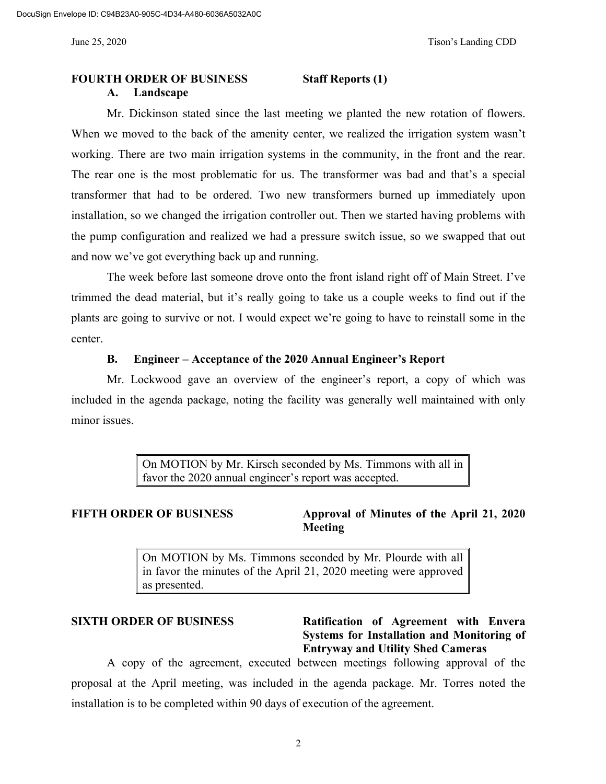## **FOURTH ORDER OF BUSINESS Staff Reports (1) A. Landscape**

Mr. Dickinson stated since the last meeting we planted the new rotation of flowers. When we moved to the back of the amenity center, we realized the irrigation system wasn't working. There are two main irrigation systems in the community, in the front and the rear. The rear one is the most problematic for us. The transformer was bad and that's a special transformer that had to be ordered. Two new transformers burned up immediately upon

installation, so we changed the irrigation controller out. Then we started having problems with the pump configuration and realized we had a pressure switch issue, so we swapped that out and now we've got everything back up and running.

The week before last someone drove onto the front island right off of Main Street. I've trimmed the dead material, but it's really going to take us a couple weeks to find out if the plants are going to survive or not. I would expect we're going to have to reinstall some in the center.

#### **B. Engineer – Acceptance of the 2020 Annual Engineer's Report**

Mr. Lockwood gave an overview of the engineer's report, a copy of which was included in the agenda package, noting the facility was generally well maintained with only minor issues.

> On MOTION by Mr. Kirsch seconded by Ms. Timmons with all in favor the 2020 annual engineer's report was accepted.

## **FIFTH ORDER OF BUSINESS Approval of Minutes of the April 21, 2020 Meeting**

On MOTION by Ms. Timmons seconded by Mr. Plourde with all in favor the minutes of the April 21, 2020 meeting were approved as presented.

# **SIXTH ORDER OF BUSINESS Ratification of Agreement with Envera Systems for Installation and Monitoring of Entryway and Utility Shed Cameras**

A copy of the agreement, executed between meetings following approval of the proposal at the April meeting, was included in the agenda package. Mr. Torres noted the installation is to be completed within 90 days of execution of the agreement.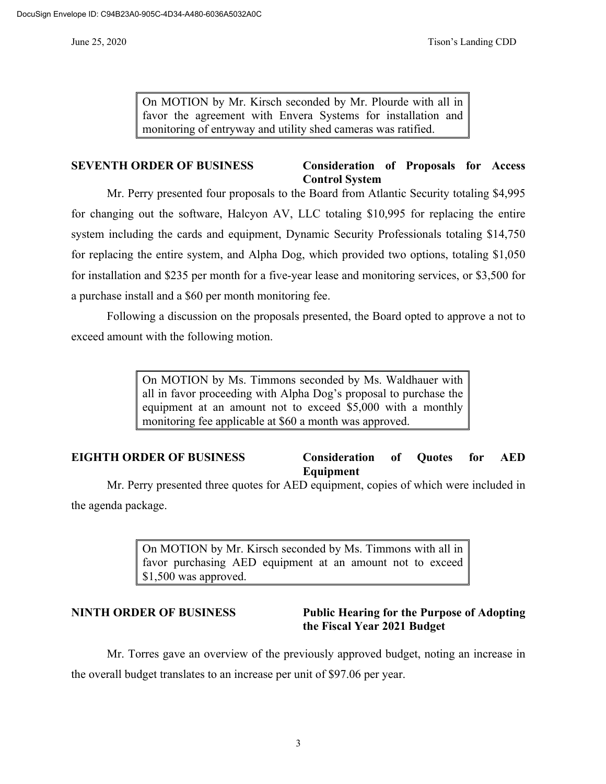On MOTION by Mr. Kirsch seconded by Mr. Plourde with all in favor the agreement with Envera Systems for installation and monitoring of entryway and utility shed cameras was ratified.

## **SEVENTH ORDER OF BUSINESS Consideration of Proposals for Access Control System**

Mr. Perry presented four proposals to the Board from Atlantic Security totaling \$4,995 for changing out the software, Halcyon AV, LLC totaling \$10,995 for replacing the entire system including the cards and equipment, Dynamic Security Professionals totaling \$14,750 for replacing the entire system, and Alpha Dog, which provided two options, totaling \$1,050 for installation and \$235 per month for a five-year lease and monitoring services, or \$3,500 for a purchase install and a \$60 per month monitoring fee.

Following a discussion on the proposals presented, the Board opted to approve a not to exceed amount with the following motion.

> On MOTION by Ms. Timmons seconded by Ms. Waldhauer with all in favor proceeding with Alpha Dog's proposal to purchase the equipment at an amount not to exceed \$5,000 with a monthly monitoring fee applicable at \$60 a month was approved.

## **EIGHTH ORDER OF BUSINESS Consideration of Quotes for AED Equipment**

Mr. Perry presented three quotes for AED equipment, copies of which were included in the agenda package.

> On MOTION by Mr. Kirsch seconded by Ms. Timmons with all in favor purchasing AED equipment at an amount not to exceed \$1,500 was approved.

**NINTH ORDER OF BUSINESS Public Hearing for the Purpose of Adopting the Fiscal Year 2021 Budget**

Mr. Torres gave an overview of the previously approved budget, noting an increase in the overall budget translates to an increase per unit of \$97.06 per year.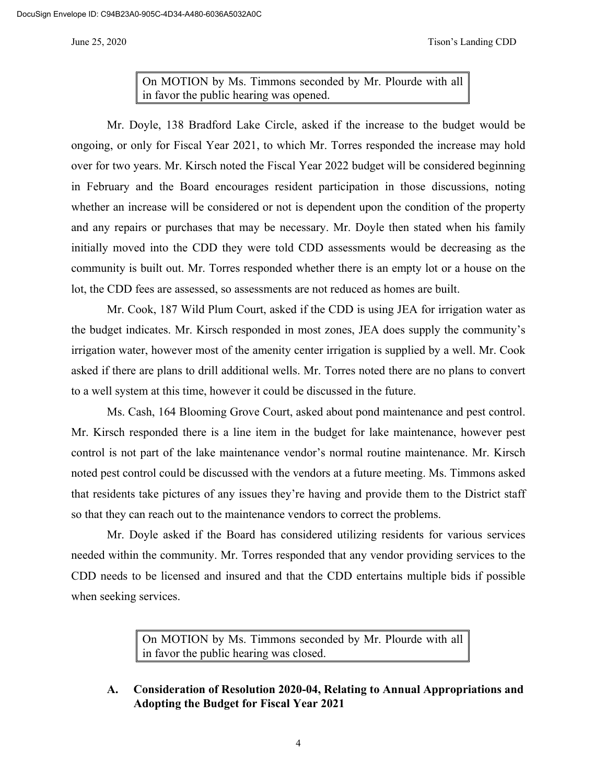On MOTION by Ms. Timmons seconded by Mr. Plourde with all in favor the public hearing was opened.

Mr. Doyle, 138 Bradford Lake Circle, asked if the increase to the budget would be ongoing, or only for Fiscal Year 2021, to which Mr. Torres responded the increase may hold over for two years. Mr. Kirsch noted the Fiscal Year 2022 budget will be considered beginning in February and the Board encourages resident participation in those discussions, noting whether an increase will be considered or not is dependent upon the condition of the property and any repairs or purchases that may be necessary. Mr. Doyle then stated when his family initially moved into the CDD they were told CDD assessments would be decreasing as the community is built out. Mr. Torres responded whether there is an empty lot or a house on the lot, the CDD fees are assessed, so assessments are not reduced as homes are built.

Mr. Cook, 187 Wild Plum Court, asked if the CDD is using JEA for irrigation water as the budget indicates. Mr. Kirsch responded in most zones, JEA does supply the community's irrigation water, however most of the amenity center irrigation is supplied by a well. Mr. Cook asked if there are plans to drill additional wells. Mr. Torres noted there are no plans to convert to a well system at this time, however it could be discussed in the future.

Ms. Cash, 164 Blooming Grove Court, asked about pond maintenance and pest control. Mr. Kirsch responded there is a line item in the budget for lake maintenance, however pest control is not part of the lake maintenance vendor's normal routine maintenance. Mr. Kirsch noted pest control could be discussed with the vendors at a future meeting. Ms. Timmons asked that residents take pictures of any issues they're having and provide them to the District staff so that they can reach out to the maintenance vendors to correct the problems.

Mr. Doyle asked if the Board has considered utilizing residents for various services needed within the community. Mr. Torres responded that any vendor providing services to the CDD needs to be licensed and insured and that the CDD entertains multiple bids if possible when seeking services.

> On MOTION by Ms. Timmons seconded by Mr. Plourde with all in favor the public hearing was closed.

**A. Consideration of Resolution 2020-04, Relating to Annual Appropriations and Adopting the Budget for Fiscal Year 2021**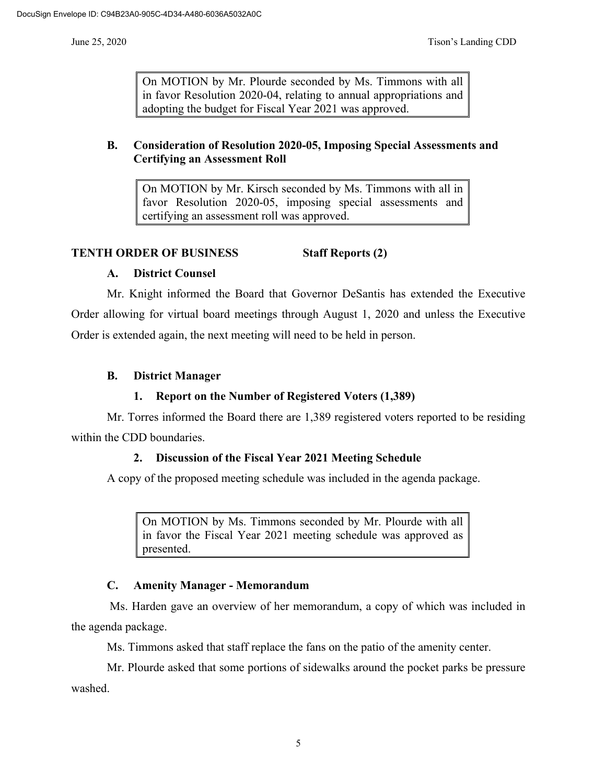On MOTION by Mr. Plourde seconded by Ms. Timmons with all in favor Resolution 2020-04, relating to annual appropriations and adopting the budget for Fiscal Year 2021 was approved.

## **B. Consideration of Resolution 2020-05, Imposing Special Assessments and Certifying an Assessment Roll**

On MOTION by Mr. Kirsch seconded by Ms. Timmons with all in favor Resolution 2020-05, imposing special assessments and certifying an assessment roll was approved.

## **TENTH ORDER OF BUSINESS Staff Reports (2)**

#### **A. District Counsel**

Mr. Knight informed the Board that Governor DeSantis has extended the Executive Order allowing for virtual board meetings through August 1, 2020 and unless the Executive Order is extended again, the next meeting will need to be held in person.

## **B. District Manager**

#### **1. Report on the Number of Registered Voters (1,389)**

Mr. Torres informed the Board there are 1,389 registered voters reported to be residing within the CDD boundaries.

#### **2. Discussion of the Fiscal Year 2021 Meeting Schedule**

A copy of the proposed meeting schedule was included in the agenda package.

On MOTION by Ms. Timmons seconded by Mr. Plourde with all in favor the Fiscal Year 2021 meeting schedule was approved as presented.

#### **C. Amenity Manager - Memorandum**

Ms. Harden gave an overview of her memorandum, a copy of which was included in the agenda package.

Ms. Timmons asked that staff replace the fans on the patio of the amenity center.

Mr. Plourde asked that some portions of sidewalks around the pocket parks be pressure washed.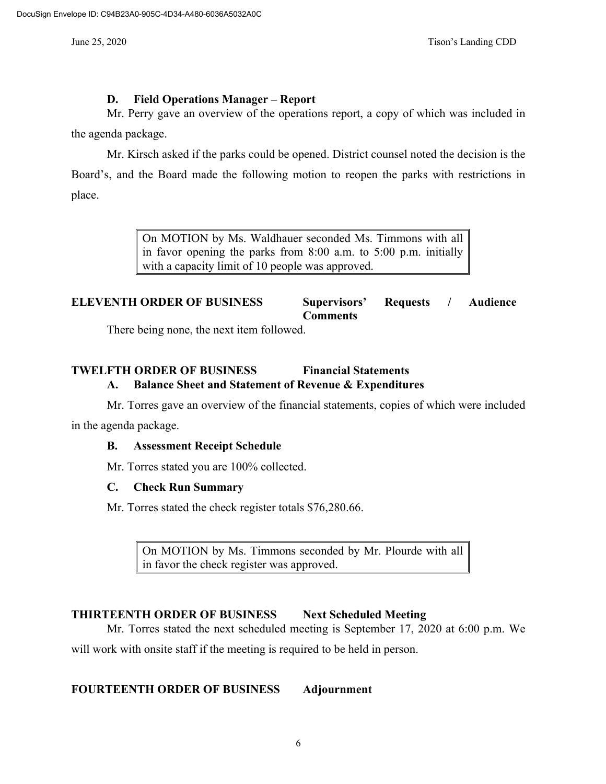## **D. Field Operations Manager – Report**

Mr. Perry gave an overview of the operations report, a copy of which was included in the agenda package.

Mr. Kirsch asked if the parks could be opened. District counsel noted the decision is the Board's, and the Board made the following motion to reopen the parks with restrictions in place.

> On MOTION by Ms. Waldhauer seconded Ms. Timmons with all in favor opening the parks from 8:00 a.m. to 5:00 p.m. initially with a capacity limit of 10 people was approved.

# **ELEVENTH ORDER OF BUSINESS Supervisors' Requests / Audience Comments**

There being none, the next item followed.

# **TWELFTH ORDER OF BUSINESS Financial Statements A. Balance Sheet and Statement of Revenue & Expenditures**

Mr. Torres gave an overview of the financial statements, copies of which were included in the agenda package.

# **B. Assessment Receipt Schedule**

Mr. Torres stated you are 100% collected.

## **C. Check Run Summary**

Mr. Torres stated the check register totals \$76,280.66.

On MOTION by Ms. Timmons seconded by Mr. Plourde with all in favor the check register was approved.

# **THIRTEENTH ORDER OF BUSINESS Next Scheduled Meeting**

Mr. Torres stated the next scheduled meeting is September 17, 2020 at 6:00 p.m. We will work with onsite staff if the meeting is required to be held in person.

# **FOURTEENTH ORDER OF BUSINESS Adjournment**